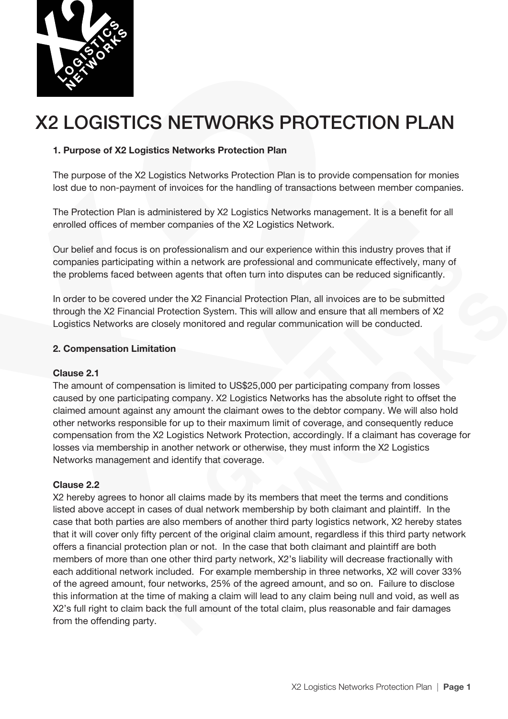

# X2 LOGISTICS NETWORKS PROTECTION PLAN

## **1. Purpose of X2 Logistics Networks Protection Plan**

The purpose of the X2 Logistics Networks Protection Plan is to provide compensation for monies lost due to non-payment of invoices for the handling of transactions between member companies.

The Protection Plan is administered by X2 Logistics Networks management. It is a benefit for all enrolled offices of member companies of the X2 Logistics Network.

Our belief and focus is on professionalism and our experience within this industry proves that if companies participating within a network are professional and communicate effectively, many of the problems faced between agents that often turn into disputes can be reduced significantly.

In order to be covered under the X2 Financial Protection Plan, all invoices are to be submitted through the X2 Financial Protection System. This will allow and ensure that all members of X2 Logistics Networks are closely monitored and regular communication will be conducted.

## **2. Compensation Limitation**

### **Clause 2.1**

The amount of compensation is limited to US\$25,000 per participating company from losses caused by one participating company. X2 Logistics Networks has the absolute right to offset the claimed amount against any amount the claimant owes to the debtor company. We will also hold other networks responsible for up to their maximum limit of coverage, and consequently reduce compensation from the X2 Logistics Network Protection, accordingly. If a claimant has coverage for losses via membership in another network or otherwise, they must inform the X2 Logistics Networks management and identify that coverage.

### **Clause 2.2**

X2 hereby agrees to honor all claims made by its members that meet the terms and conditions listed above accept in cases of dual network membership by both claimant and plaintiff. In the case that both parties are also members of another third party logistics network, X2 hereby states that it will cover only fifty percent of the original claim amount, regardless if this third party network offers a financial protection plan or not. In the case that both claimant and plaintiff are both members of more than one other third party network, X2's liability will decrease fractionally with each additional network included. For example membership in three networks, X2 will cover 33% of the agreed amount, four networks, 25% of the agreed amount, and so on. Failure to disclose this information at the time of making a claim will lead to any claim being null and void, as well as X2's full right to claim back the full amount of the total claim, plus reasonable and fair damages from the offending party.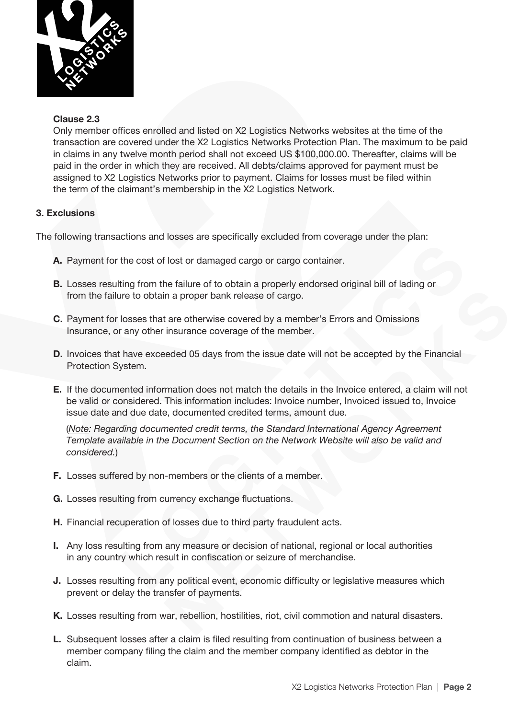

## **Clause 2.3**

Only member offices enrolled and listed on X2 Logistics Networks websites at the time of the transaction are covered under the X2 Logistics Networks Protection Plan. The maximum to be paid in claims in any twelve month period shall not exceed US \$100,000.00. Thereafter, claims will be paid in the order in which they are received. All debts/claims approved for payment must be assigned to X2 Logistics Networks prior to payment. Claims for losses must be filed within the term of the claimant's membership in the X2 Logistics Network.

# **3. Exclusions**

The following transactions and losses are specifically excluded from coverage under the plan:

- **A.** Payment for the cost of lost or damaged cargo or cargo container.
- **B.** Losses resulting from the failure of to obtain a properly endorsed original bill of lading or from the failure to obtain a proper bank release of cargo.
- **C.** Payment for losses that are otherwise covered by a member's Errors and Omissions Insurance, or any other insurance coverage of the member.
- **D.** Invoices that have exceeded 05 days from the issue date will not be accepted by the Financial Protection System.
- **E.** If the documented information does not match the details in the Invoice entered, a claim will not be valid or considered. This information includes: Invoice number, Invoiced issued to, Invoice issue date and due date, documented credited terms, amount due.

 (*Note: Regarding documented credit terms, the Standard International Agency Agreement Template available in the Document Section on the Network Website will also be valid and considered.*)

- **F.** Losses suffered by non-members or the clients of a member.
- **G.** Losses resulting from currency exchange fluctuations.
- **H.** Financial recuperation of losses due to third party fraudulent acts.
- **I.** Any loss resulting from any measure or decision of national, regional or local authorities in any country which result in confiscation or seizure of merchandise.
- **J.** Losses resulting from any political event, economic difficulty or legislative measures which prevent or delay the transfer of payments.
- **K.** Losses resulting from war, rebellion, hostilities, riot, civil commotion and natural disasters.
- **L.** Subsequent losses after a claim is filed resulting from continuation of business between a member company filing the claim and the member company identified as debtor in the claim.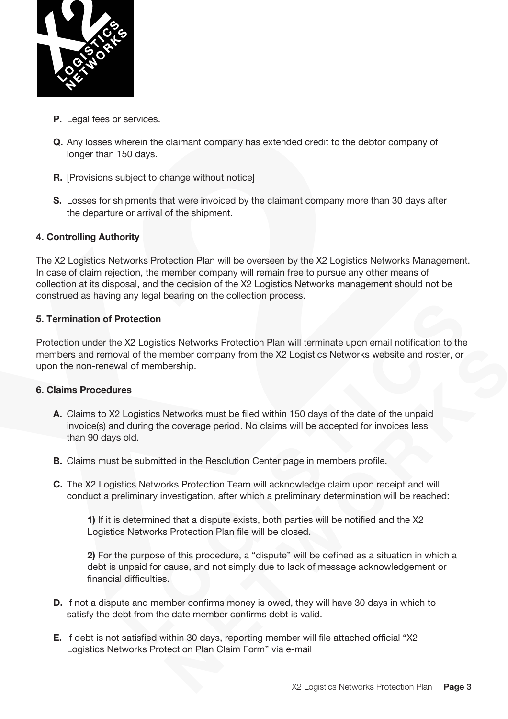

- **P.** Legal fees or services.
- **Q.** Any losses wherein the claimant company has extended credit to the debtor company of longer than 150 days.
- **R. [Provisions subject to change without notice]**
- **S.** Losses for shipments that were invoiced by the claimant company more than 30 days after the departure or arrival of the shipment.

### **4. Controlling Authority**

The X2 Logistics Networks Protection Plan will be overseen by the X2 Logistics Networks Management. In case of claim rejection, the member company will remain free to pursue any other means of collection at its disposal, and the decision of the X2 Logistics Networks management should not be construed as having any legal bearing on the collection process.

### **5. Termination of Protection**

Protection under the X2 Logistics Networks Protection Plan will terminate upon email notification to the members and removal of the member company from the X2 Logistics Networks website and roster, or upon the non-renewal of membership.

## **6. Claims Procedures**

- **A.** Claims to X2 Logistics Networks must be filed within 150 days of the date of the unpaid invoice(s) and during the coverage period. No claims will be accepted for invoices less than 90 days old.
- **B.** Claims must be submitted in the Resolution Center page in members profile.
- **C.** The X2 Logistics Networks Protection Team will acknowledge claim upon receipt and will conduct a preliminary investigation, after which a preliminary determination will be reached:

**1)** If it is determined that a dispute exists, both parties will be notified and the X2 Logistics Networks Protection Plan file will be closed.

**2)** For the purpose of this procedure, a "dispute" will be defined as a situation in which a debt is unpaid for cause, and not simply due to lack of message acknowledgement or financial difficulties.

- **D.** If not a dispute and member confirms money is owed, they will have 30 days in which to satisfy the debt from the date member confirms debt is valid.
- **E.** If debt is not satisfied within 30 days, reporting member will file attached official "X2 Logistics Networks Protection Plan Claim Form" via e-mail